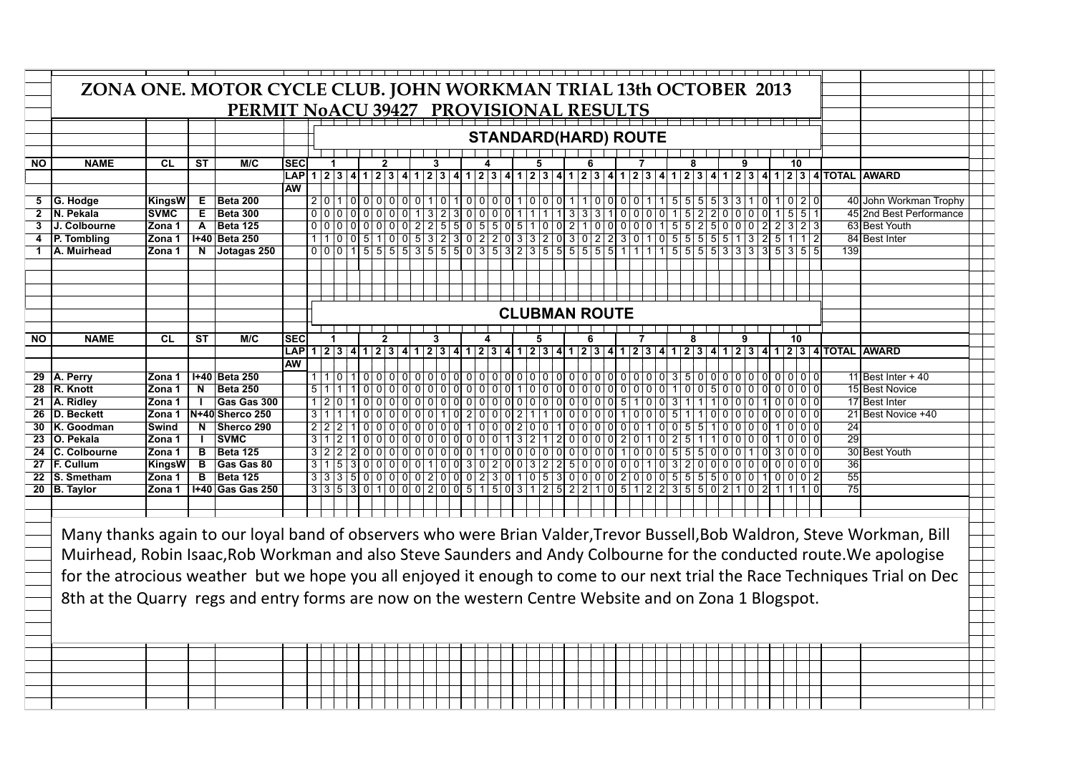|           | ZONA ONE. MOTOR CYCLE CLUB. JOHN WORKMAN TRIAL 13th OCTOBER 2013<br>PERMIT NoACU 39427 PROVISIONAL RESULTS               |             |              |                         |            |            |  |                                                                                       |  |  |  |  |   |  |                                    |  |       |                             |                  |  |  |   |           |  |                 |  |       |                                                                                                                                                                                                                               |                                                                                                                            |  |  |
|-----------|--------------------------------------------------------------------------------------------------------------------------|-------------|--------------|-------------------------|------------|------------|--|---------------------------------------------------------------------------------------|--|--|--|--|---|--|------------------------------------|--|-------|-----------------------------|------------------|--|--|---|-----------|--|-----------------|--|-------|-------------------------------------------------------------------------------------------------------------------------------------------------------------------------------------------------------------------------------|----------------------------------------------------------------------------------------------------------------------------|--|--|
|           |                                                                                                                          |             |              |                         |            |            |  |                                                                                       |  |  |  |  |   |  |                                    |  |       |                             |                  |  |  |   |           |  |                 |  |       |                                                                                                                                                                                                                               |                                                                                                                            |  |  |
|           |                                                                                                                          |             |              |                         |            |            |  |                                                                                       |  |  |  |  |   |  |                                    |  |       |                             |                  |  |  |   |           |  |                 |  |       |                                                                                                                                                                                                                               |                                                                                                                            |  |  |
|           |                                                                                                                          |             |              |                         |            |            |  |                                                                                       |  |  |  |  |   |  |                                    |  |       | <b>STANDARD(HARD) ROUTE</b> |                  |  |  |   |           |  |                 |  |       |                                                                                                                                                                                                                               |                                                                                                                            |  |  |
|           |                                                                                                                          |             |              |                         |            |            |  |                                                                                       |  |  |  |  |   |  |                                    |  |       |                             |                  |  |  |   |           |  |                 |  |       |                                                                                                                                                                                                                               |                                                                                                                            |  |  |
| ΝO        | <b>NAME</b>                                                                                                              | CL          | <b>ST</b>    | M/C                     | <b>SEC</b> |            |  |                                                                                       |  |  |  |  | 3 |  |                                    |  | 5     |                             | 6                |  |  | 8 |           |  |                 |  | 10    |                                                                                                                                                                                                                               |                                                                                                                            |  |  |
|           |                                                                                                                          |             |              |                         |            |            |  |                                                                                       |  |  |  |  |   |  |                                    |  |       |                             |                  |  |  |   |           |  |                 |  |       | LAP 1 2 3 4 1 2 3 4 1 2 3 4 1 2 3 4 1 2 3 4 1 2 3 4 1 2 3 4 1 2 3 4 1 2 3 4 1 2 3 4 1 2 3 4 1 2 3 4 1 2 3 4 1 2 3 4 1 2 3 4 1 0 TAL                                                                                           | <b>AWARD</b>                                                                                                               |  |  |
|           |                                                                                                                          |             |              |                         | <b>AW</b>  |            |  |                                                                                       |  |  |  |  |   |  |                                    |  |       |                             |                  |  |  |   |           |  |                 |  |       |                                                                                                                                                                                                                               |                                                                                                                            |  |  |
|           | 5 G. Hodge                                                                                                               | KingsW      | Е            | Beta 200                |            |            |  |                                                                                       |  |  |  |  |   |  |                                    |  |       |                             |                  |  |  |   |           |  |                 |  |       |                                                                                                                                                                                                                               | 40 John Workman Trophy                                                                                                     |  |  |
| 2         | N. Pekala                                                                                                                | <b>SVMC</b> | Е            | <b>Beta 300</b>         |            |            |  | 0 0 0 0 0 0 0 0                                                                       |  |  |  |  |   |  | 13230000                           |  | 1 1 1 |                             | 3331000015       |  |  |   | $\vert$ 2 |  | 200000          |  | 5 5 1 |                                                                                                                                                                                                                               | 45 2nd Best Performance                                                                                                    |  |  |
| 3         | <b>J. Colbourne</b>                                                                                                      | Zona 1      | $\mathbf{A}$ | <b>Beta 125</b>         |            |            |  | 0 0 0 0 0 0 0 0 0 2 2 5 5 0 5 5 0 5 1 0 0 2 1 0 0 0 0 0 1 5 5 2 5 0 0 0 0 2 2 3 2 3   |  |  |  |  |   |  |                                    |  |       |                             |                  |  |  |   |           |  |                 |  |       |                                                                                                                                                                                                                               | 63 Best Youth                                                                                                              |  |  |
|           | P. Tombling                                                                                                              | Zona 1      |              | 1+40 Beta 250           |            |            |  | $1 1 0 0 5 1 0 0 5 3 2 3 0 2 2 0 3 3 2 0 3 0 2 2 3 0 1 0 5 5 5 5 5 1 3 2 5$           |  |  |  |  |   |  |                                    |  |       |                             |                  |  |  |   |           |  |                 |  | 1 1 2 |                                                                                                                                                                                                                               | 84 Best Inter                                                                                                              |  |  |
|           | 1   A. Muirhead                                                                                                          | Zona 1      | N            | Jotagas 250             |            |            |  |                                                                                       |  |  |  |  |   |  |                                    |  |       |                             |                  |  |  |   |           |  |                 |  |       | 139                                                                                                                                                                                                                           |                                                                                                                            |  |  |
|           |                                                                                                                          |             |              |                         |            |            |  |                                                                                       |  |  |  |  |   |  |                                    |  |       |                             |                  |  |  |   |           |  |                 |  |       |                                                                                                                                                                                                                               |                                                                                                                            |  |  |
|           |                                                                                                                          |             |              |                         |            |            |  |                                                                                       |  |  |  |  |   |  |                                    |  |       |                             |                  |  |  |   |           |  |                 |  |       |                                                                                                                                                                                                                               |                                                                                                                            |  |  |
|           |                                                                                                                          |             |              |                         |            |            |  |                                                                                       |  |  |  |  |   |  |                                    |  |       |                             |                  |  |  |   |           |  |                 |  |       |                                                                                                                                                                                                                               |                                                                                                                            |  |  |
|           |                                                                                                                          |             |              |                         |            |            |  |                                                                                       |  |  |  |  |   |  |                                    |  |       |                             |                  |  |  |   |           |  |                 |  |       |                                                                                                                                                                                                                               |                                                                                                                            |  |  |
|           |                                                                                                                          |             |              |                         |            |            |  |                                                                                       |  |  |  |  |   |  |                                    |  |       | <b>CLUBMAN ROUTE</b>        |                  |  |  |   |           |  |                 |  |       |                                                                                                                                                                                                                               |                                                                                                                            |  |  |
|           |                                                                                                                          |             |              |                         |            |            |  |                                                                                       |  |  |  |  |   |  |                                    |  |       |                             |                  |  |  |   |           |  |                 |  |       |                                                                                                                                                                                                                               |                                                                                                                            |  |  |
| <b>NO</b> | <b>NAME</b>                                                                                                              | <b>CL</b>   | <b>ST</b>    | M/C                     | <b>SEC</b> |            |  |                                                                                       |  |  |  |  | 3 |  |                                    |  | 5     |                             | 6                |  |  |   |           |  |                 |  | 10    |                                                                                                                                                                                                                               |                                                                                                                            |  |  |
|           |                                                                                                                          |             |              |                         |            |            |  |                                                                                       |  |  |  |  |   |  |                                    |  |       |                             |                  |  |  |   |           |  |                 |  |       | LAP 1 2 3 4 1 2 3 4 1 2 3 4 1 2 3 4 1 2 3 4 1 2 3 4 1 2 3 4 1 2 3 4 1 2 3 4 1 2 3 4 1 2 3 4 1 2 3 4 1 2 3 4 1 2 3 4 1 2 3 4 1 2 3 4 1 2 3 4 1 2 3 4 1 2 3 4 1 2 3 4 1 2 3 4 1 2 3 4 1 2 3 4 1 2 3 4 1 2 3 4 1 2 3 4 1 2 3 4 1 |                                                                                                                            |  |  |
|           |                                                                                                                          |             |              |                         | <b>AW</b>  |            |  |                                                                                       |  |  |  |  |   |  |                                    |  |       |                             |                  |  |  |   |           |  |                 |  |       |                                                                                                                                                                                                                               |                                                                                                                            |  |  |
|           | 29 A. Perry                                                                                                              | Zona 1      |              | 1+40 Beta 250           |            |            |  |                                                                                       |  |  |  |  |   |  |                                    |  |       |                             |                  |  |  |   |           |  |                 |  |       |                                                                                                                                                                                                                               | 11 Best Inter $+40$                                                                                                        |  |  |
|           | 28   R. Knott                                                                                                            | Zona 1      | N            | <b>Beta 250</b>         |            |            |  |                                                                                       |  |  |  |  |   |  |                                    |  |       |                             |                  |  |  |   |           |  |                 |  |       |                                                                                                                                                                                                                               | 15 Best Novice                                                                                                             |  |  |
|           | 21   A. Ridley                                                                                                           | Zona 1      |              | Gas Gas 300             |            |            |  | 1 2 0 1                                                                               |  |  |  |  |   |  |                                    |  |       |                             |                  |  |  |   |           |  | 1000010000      |  |       |                                                                                                                                                                                                                               | 17 Best Inter                                                                                                              |  |  |
|           | 26 D. Beckett                                                                                                            | Zona 1      |              | N+40 Sherco 250         |            | $3 \mid 1$ |  |                                                                                       |  |  |  |  |   |  |                                    |  |       |                             |                  |  |  |   |           |  |                 |  |       |                                                                                                                                                                                                                               | 21 Best Novice +40                                                                                                         |  |  |
|           | 30   K. Goodman                                                                                                          | Swind       | N            | Sherco 290              |            |            |  | 2 2 2 1                                                                               |  |  |  |  |   |  | $0 0 0 0 0 0 0 0 0 1 0 0 0 2 0 0 $ |  |       |                             | 1000000001010055 |  |  |   |           |  | 0 0 0 0 1 0 0 0 |  |       | 24                                                                                                                                                                                                                            |                                                                                                                            |  |  |
|           | 23 O. Pekala                                                                                                             | Zona 1      |              | <b>SVMC</b>             |            |            |  | 3 1 2 1                                                                               |  |  |  |  |   |  | $0 0 0 0 0 0 0 0 0 0 0 0 1 3 2 1$  |  |       |                             | 200000201025     |  |  |   | 11        |  | 100000101000    |  |       | 29                                                                                                                                                                                                                            |                                                                                                                            |  |  |
|           | 24 C. Colbourne                                                                                                          | Zona 1      | B            | <b>Beta 125</b>         |            |            |  | $32220000000000010010000000000010001000555$                                           |  |  |  |  |   |  |                                    |  |       |                             |                  |  |  |   |           |  | 0 0 0 1 03 0 00 |  |       |                                                                                                                                                                                                                               | 30 Best Youth                                                                                                              |  |  |
|           | 27   F. Cullum                                                                                                           | KingsW      | В            | Gas Gas 80              |            |            |  | 3 1 5 3 0 0 0 0 0 0 1 0 0 3 0 2 0 0 3 2 2 5 0 0 0 0 0 1 0 3 2 0 0 0 0 0 0 0 0 0       |  |  |  |  |   |  |                                    |  |       |                             |                  |  |  |   |           |  |                 |  |       | 36                                                                                                                                                                                                                            |                                                                                                                            |  |  |
|           | 22 S. Smetham                                                                                                            | Zona 1      | в            | <b>Beta 125</b>         |            |            |  | 3 3 3 5 0 0 0 0 0 0 2 0 0 0 2 3 0 1 0 5 3 0 0 0 0 2 0 0 0 5 5 5 6 0 0 0 1 0 0 1 0 0 2 |  |  |  |  |   |  |                                    |  |       |                             |                  |  |  |   |           |  |                 |  |       | 55                                                                                                                                                                                                                            |                                                                                                                            |  |  |
|           | 20 B. Taylor                                                                                                             | Zona 1      |              | <b>I+40 Gas Gas 250</b> |            |            |  | $3353010002005150312522105122355021021$                                               |  |  |  |  |   |  |                                    |  |       |                             |                  |  |  |   |           |  |                 |  |       | $\overline{75}$                                                                                                                                                                                                               |                                                                                                                            |  |  |
|           |                                                                                                                          |             |              |                         |            |            |  |                                                                                       |  |  |  |  |   |  |                                    |  |       |                             |                  |  |  |   |           |  |                 |  |       |                                                                                                                                                                                                                               |                                                                                                                            |  |  |
|           |                                                                                                                          |             |              |                         |            |            |  |                                                                                       |  |  |  |  |   |  |                                    |  |       |                             |                  |  |  |   |           |  |                 |  |       |                                                                                                                                                                                                                               |                                                                                                                            |  |  |
|           | Many thanks again to our loyal band of observers who were Brian Valder, Trevor Bussell, Bob Waldron, Steve Workman, Bill |             |              |                         |            |            |  |                                                                                       |  |  |  |  |   |  |                                    |  |       |                             |                  |  |  |   |           |  |                 |  |       |                                                                                                                                                                                                                               |                                                                                                                            |  |  |
|           |                                                                                                                          |             |              |                         |            |            |  |                                                                                       |  |  |  |  |   |  |                                    |  |       |                             |                  |  |  |   |           |  |                 |  |       |                                                                                                                                                                                                                               |                                                                                                                            |  |  |
|           | Muirhead, Robin Isaac, Rob Workman and also Steve Saunders and Andy Colbourne for the conducted route. We apologise      |             |              |                         |            |            |  |                                                                                       |  |  |  |  |   |  |                                    |  |       |                             |                  |  |  |   |           |  |                 |  |       |                                                                                                                                                                                                                               |                                                                                                                            |  |  |
|           |                                                                                                                          |             |              |                         |            |            |  |                                                                                       |  |  |  |  |   |  |                                    |  |       |                             |                  |  |  |   |           |  |                 |  |       |                                                                                                                                                                                                                               |                                                                                                                            |  |  |
|           |                                                                                                                          |             |              |                         |            |            |  |                                                                                       |  |  |  |  |   |  |                                    |  |       |                             |                  |  |  |   |           |  |                 |  |       |                                                                                                                                                                                                                               | for the atrocious weather but we hope you all enjoyed it enough to come to our next trial the Race Techniques Trial on Dec |  |  |
|           | 8th at the Quarry regs and entry forms are now on the western Centre Website and on Zona 1 Blogspot.                     |             |              |                         |            |            |  |                                                                                       |  |  |  |  |   |  |                                    |  |       |                             |                  |  |  |   |           |  |                 |  |       |                                                                                                                                                                                                                               |                                                                                                                            |  |  |
|           |                                                                                                                          |             |              |                         |            |            |  |                                                                                       |  |  |  |  |   |  |                                    |  |       |                             |                  |  |  |   |           |  |                 |  |       |                                                                                                                                                                                                                               |                                                                                                                            |  |  |
|           |                                                                                                                          |             |              |                         |            |            |  |                                                                                       |  |  |  |  |   |  |                                    |  |       |                             |                  |  |  |   |           |  |                 |  |       |                                                                                                                                                                                                                               |                                                                                                                            |  |  |
|           |                                                                                                                          |             |              |                         |            |            |  |                                                                                       |  |  |  |  |   |  |                                    |  |       |                             |                  |  |  |   |           |  |                 |  |       |                                                                                                                                                                                                                               |                                                                                                                            |  |  |
|           |                                                                                                                          |             |              |                         |            |            |  |                                                                                       |  |  |  |  |   |  |                                    |  |       |                             |                  |  |  |   |           |  |                 |  |       |                                                                                                                                                                                                                               |                                                                                                                            |  |  |
|           |                                                                                                                          |             |              |                         |            |            |  |                                                                                       |  |  |  |  |   |  |                                    |  |       |                             |                  |  |  |   |           |  |                 |  |       |                                                                                                                                                                                                                               |                                                                                                                            |  |  |
|           |                                                                                                                          |             |              |                         |            |            |  |                                                                                       |  |  |  |  |   |  |                                    |  |       |                             |                  |  |  |   |           |  |                 |  |       |                                                                                                                                                                                                                               |                                                                                                                            |  |  |
|           |                                                                                                                          |             |              |                         |            |            |  |                                                                                       |  |  |  |  |   |  |                                    |  |       |                             |                  |  |  |   |           |  |                 |  |       |                                                                                                                                                                                                                               |                                                                                                                            |  |  |
|           |                                                                                                                          |             |              |                         |            |            |  |                                                                                       |  |  |  |  |   |  |                                    |  |       |                             |                  |  |  |   |           |  |                 |  |       |                                                                                                                                                                                                                               |                                                                                                                            |  |  |
|           |                                                                                                                          |             |              |                         |            |            |  |                                                                                       |  |  |  |  |   |  |                                    |  |       |                             |                  |  |  |   |           |  |                 |  |       |                                                                                                                                                                                                                               |                                                                                                                            |  |  |